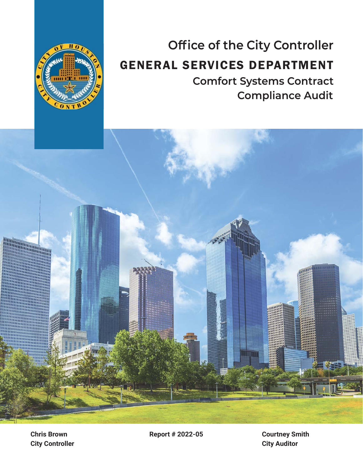

# **Office of the City Controller** GENERAL SERVICES DEPARTMENT **Comfort Systems Contract Compliance Audit**



**City Controller Chris Brown**

**Report # 2022-05 Courtney Smith**

**City Auditor**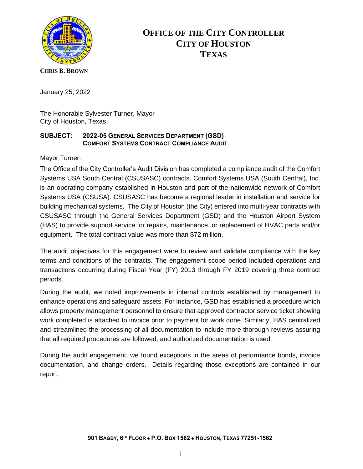

# **OFFICE OF THE CITY CONTROLLER CITY OF HOUSTON TEXAS**

#### **CHRIS B. BROWN**

January 25, 2022

The Honorable Sylvester Turner, Mayor City of Houston, Texas

### **SUBJECT: 2022-05 GENERAL SERVICES DEPARTMENT (GSD) COMFORT SYSTEMS CONTRACT COMPLIANCE AUDIT**

Mayor Turner:

The Office of the City Controller's Audit Division has completed a compliance audit of the Comfort Systems USA South Central (CSUSASC) contracts. Comfort Systems USA (South Central), Inc. is an operating company established in Houston and part of the nationwide network of Comfort Systems USA (CSUSA). CSUSASC has become a regional leader in installation and service for building mechanical systems. The City of Houston (the City) entered into multi-year contracts with CSUSASC through the General Services Department (GSD) and the Houston Airport System (HAS) to provide support service for repairs, maintenance, or replacement of HVAC parts and/or equipment. The total contract value was more than \$72 million.

The audit objectives for this engagement were to review and validate compliance with the key terms and conditions of the contracts. The engagement scope period included operations and transactions occurring during Fiscal Year (FY) 2013 through FY 2019 covering three contract periods.

During the audit, we noted improvements in internal controls established by management to enhance operations and safeguard assets. For instance, GSD has established a procedure which allows property management personnel to ensure that approved contractor service ticket showing work completed is attached to invoice prior to payment for work done. Similarly, HAS centralized and streamlined the processing of all documentation to include more thorough reviews assuring that all required procedures are followed, and authorized documentation is used.

During the audit engagement, we found exceptions in the areas of performance bonds, invoice documentation, and change orders. Details regarding those exceptions are contained in our report.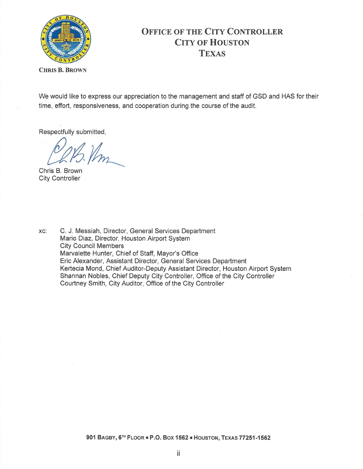

# OFFICE OF THE CITY CONTROLLER CITY OF HOUSTON **TEXAS**

CHRIS B. BROWN

We would like to express our appreciation to the management and staff of GSD and HAS for their time, effort, responsiveness, and cooperation during the course of the audit.

Respectfully submitted,

*&t;lm\_\_* 

Chris B. Brown City Controller

xc: C. J. Messiah, Director, General Services Department Mario Diaz, Director, Houston Airport System City Council Members Marvalette Hunter, Chief of Staff, Mayor's Office Eric Alexander, Assistant Director, General Services Department Kertecia Mand, Chief Auditor-Deputy Assistant Director, Houston Airport System Shannan Nobles, Chief Deputy City Controller, Office of the City Controller Courtney Smith, City Auditor, Office of the City Controller

901 BAGBY, 6TH FLOOR · P.O. BOX 1562 · HOUSTON, TEXAS 77251-1562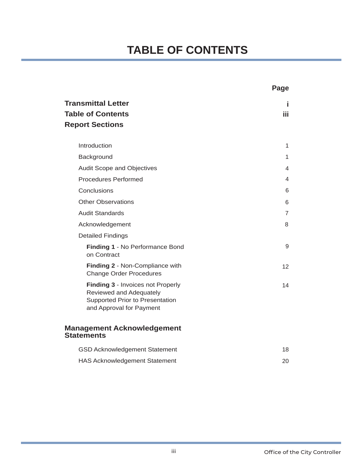# **TABLE OF CONTENTS**

|                                                                                                                             | Page           |
|-----------------------------------------------------------------------------------------------------------------------------|----------------|
| <b>Transmittal Letter</b><br><b>Table of Contents</b><br><b>Report Sections</b>                                             | I.<br>iii      |
| Introduction                                                                                                                | 1              |
| Background                                                                                                                  | 1              |
| Audit Scope and Objectives                                                                                                  | 4              |
| <b>Procedures Performed</b>                                                                                                 | 4              |
| Conclusions                                                                                                                 | 6              |
| <b>Other Observations</b>                                                                                                   | 6              |
| <b>Audit Standards</b>                                                                                                      | $\overline{7}$ |
| Acknowledgement                                                                                                             | 8              |
| <b>Detailed Findings</b>                                                                                                    |                |
| Finding 1 - No Performance Bond<br>on Contract                                                                              | 9              |
| Finding 2 - Non-Compliance with<br><b>Change Order Procedures</b>                                                           | 12             |
| Finding 3 - Invoices not Properly<br>Reviewed and Adequately<br>Supported Prior to Presentation<br>and Approval for Payment | 14             |
| <b>Management Acknowledgement</b><br><b>Statements</b>                                                                      |                |
| GSD Acknowledgement Statement                                                                                               | 18             |
| <b>HAS Acknowledgement Statement</b>                                                                                        | 20             |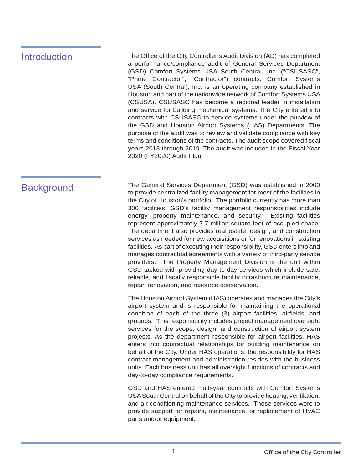# Introduction

The Office of the City Controller's Audit Division (AD) has completed a performance/compliance audit of General Services Department (GSD) Comfort Systems USA South Central, Inc. ("CSUSASC", "Prime Contractor", "Contractor") contracts. Comfort Systems USA (South Central), Inc. is an operating company established in Houston and part of the nationwide network of Comfort Systems USA (CSUSA). CSUSASC has become a regional leader in installation and service for building mechanical systems. The City entered into contracts with CSUSASC to service systems under the purview of the GSD and Houston Airport Systems (HAS) Departments. The purpose of the audit was to review and validate compliance with key terms and conditions of the contracts. The audit scope covered fiscal years 2013 through 2019. The audit was included in the Fiscal Year 2020 (FY2020) Audit Plan.

Background The General Services Department (GSD) was established in 2000 to provide centralized facility management for most of the facilities in the City of Houston's portfolio. The portfolio currently has more than 300 facilities. GSD's facility management responsibilities include energy, property maintenance, and security. Existing facilities represent approximately 7.7 million square feet of occupied space. The department also provides real estate, design, and construction services as needed for new acquisitions or for renovations in existing facilities. As part of executing their responsibility, GSD enters into and manages contractual agreements with a variety of third-party service providers. The Property Management Division is the unit within GSD tasked with providing day-to-day services which include safe, reliable, and fiscally responsible facility infrastructure maintenance, repair, renovation, and resource conservation.

> The Houston Airport System (HAS) operates and manages the City's airport system and is responsible for maintaining the operational condition of each of the three (3) airport facilities, airfields, and grounds. This responsibility includes project management oversight services for the scope, design, and construction of airport system projects. As the department responsible for airport facilities, HAS enters into contractual relationships for building maintenance on behalf of the City. Under HAS operations, the responsibility for HAS contract management and administration resides with the business units. Each business unit has all oversight functions of contracts and day-to-day compliance requirements.

> GSD and HAS entered multi-year contracts with Comfort Systems USA South Central on behalf of the City to provide heating, ventilation, and air conditioning maintenance services. Those services were to provide support for repairs, maintenance, or replacement of HVAC parts and/or equipment.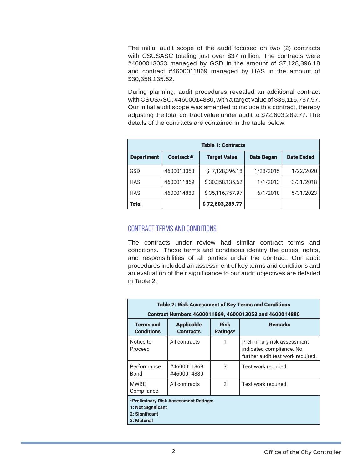The initial audit scope of the audit focused on two (2) contracts with CSUSASC totaling just over \$37 million. The contracts were #4600013053 managed by GSD in the amount of \$7,128,396.18 and contract #4600011869 managed by HAS in the amount of \$30,358,135.62.

During planning, audit procedures revealed an additional contract with CSUSASC, #4600014880, with a target value of \$35,116,757.97. Our initial audit scope was amended to include this contract, thereby adjusting the total contract value under audit to \$72,603,289.77. The details of the contracts are contained in the table below:

| <b>Table 1: Contracts</b> |                   |                     |                   |                   |
|---------------------------|-------------------|---------------------|-------------------|-------------------|
| <b>Department</b>         | <b>Contract #</b> | <b>Target Value</b> | <b>Date Began</b> | <b>Date Ended</b> |
| GSD                       | 4600013053        | \$7,128,396.18      | 1/23/2015         | 1/22/2020         |
| <b>HAS</b>                | 4600011869        | \$30,358,135.62     | 1/1/2013          | 3/31/2018         |
| <b>HAS</b>                | 4600014880        | \$35,116,757.97     | 6/1/2018          | 5/31/2023         |
| Total                     |                   | \$72,603,289.77     |                   |                   |

### CONTRACT TERMS AND CONDITIONS

The contracts under review had similar contract terms and conditions. Those terms and conditions identify the duties, rights, and responsibilities of all parties under the contract. Our audit procedures included an assessment of key terms and conditions and an evaluation of their significance to our audit objectives are detailed in Table 2.

| <b>Table 2: Risk Assessment of Key Terms and Conditions</b><br>Contract Numbers 4600011869, 4600013053 and 4600014880 |                                       |                         |                                                                                              |
|-----------------------------------------------------------------------------------------------------------------------|---------------------------------------|-------------------------|----------------------------------------------------------------------------------------------|
| <b>Terms and</b><br><b>Conditions</b>                                                                                 | <b>Applicable</b><br><b>Contracts</b> | <b>Risk</b><br>Ratings* | <b>Remarks</b>                                                                               |
| Notice to<br>Proceed                                                                                                  | All contracts                         |                         | Preliminary risk assessment<br>indicated compliance. No<br>further audit test work required. |
| Performance<br>Bond                                                                                                   | #4600011869<br>#4600014880            | 3                       | Test work required                                                                           |
| <b>MWBF</b><br>Compliance                                                                                             | All contracts                         | 2                       | Test work required                                                                           |
| *Preliminary Risk Assessment Ratings:<br>1: Not Significant<br>2: Significant<br>3: Material                          |                                       |                         |                                                                                              |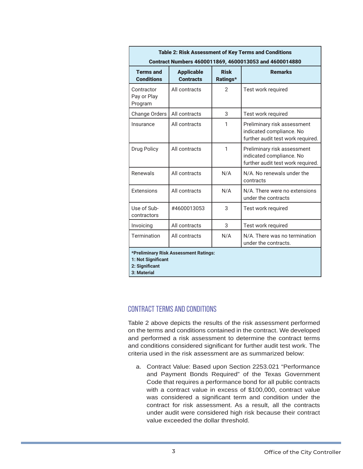| <b>Table 2: Risk Assessment of Key Terms and Conditions</b><br>Contract Numbers 4600011869, 4600013053 and 4600014880 |                                       |                         |                                                                                              |
|-----------------------------------------------------------------------------------------------------------------------|---------------------------------------|-------------------------|----------------------------------------------------------------------------------------------|
| <b>Terms and</b><br><b>Conditions</b>                                                                                 | <b>Applicable</b><br><b>Contracts</b> | <b>Risk</b><br>Ratings* | <b>Remarks</b>                                                                               |
| Contractor<br>Pay or Play<br>Program                                                                                  | All contracts                         | $\overline{2}$          | Test work required                                                                           |
| Change Orders                                                                                                         | All contracts                         | 3                       | Test work required                                                                           |
| Insurance                                                                                                             | All contracts                         | 1                       | Preliminary risk assessment<br>indicated compliance. No<br>further audit test work required. |
| <b>Drug Policy</b>                                                                                                    | All contracts                         | 1                       | Preliminary risk assessment<br>indicated compliance. No<br>further audit test work required. |
| Renewals                                                                                                              | All contracts                         | N/A                     | N/A. No renewals under the<br>contracts                                                      |
| Extensions                                                                                                            | All contracts                         | N/A                     | N/A. There were no extensions<br>under the contracts                                         |
| Use of Sub-<br>contractors                                                                                            | #4600013053                           | 3                       | Test work required                                                                           |
| Invoicing                                                                                                             | All contracts                         | 3                       | Test work required                                                                           |
| Termination                                                                                                           | All contracts                         | N/A                     | N/A. There was no termination<br>under the contracts.                                        |
| *Preliminary Risk Assessment Ratings:<br>1: Not Significant<br>2: Significant<br>3: Material                          |                                       |                         |                                                                                              |

### CONTRACT TERMS AND CONDITIONS

Table 2 above depicts the results of the risk assessment performed on the terms and conditions contained in the contract. We developed and performed a risk assessment to determine the contract terms and conditions considered significant for further audit test work. The criteria used in the risk assessment are as summarized below:

a. Contract Value: Based upon Section 2253.021 "Performance and Payment Bonds Required" of the Texas Government Code that requires a performance bond for all public contracts with a contract value in excess of \$100,000, contract value was considered a significant term and condition under the contract for risk assessment. As a result, all the contracts under audit were considered high risk because their contract value exceeded the dollar threshold.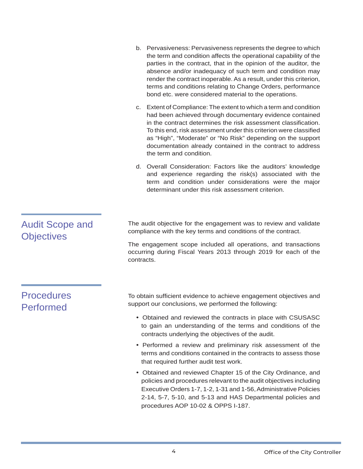|                                             | b. Pervasiveness: Pervasiveness represents the degree to which<br>the term and condition affects the operational capability of the<br>parties in the contract, that in the opinion of the auditor, the<br>absence and/or inadequacy of such term and condition may<br>render the contract inoperable. As a result, under this criterion,<br>terms and conditions relating to Change Orders, performance<br>bond etc. were considered material to the operations. |
|---------------------------------------------|------------------------------------------------------------------------------------------------------------------------------------------------------------------------------------------------------------------------------------------------------------------------------------------------------------------------------------------------------------------------------------------------------------------------------------------------------------------|
|                                             | c. Extent of Compliance: The extent to which a term and condition<br>had been achieved through documentary evidence contained<br>in the contract determines the risk assessment classification.<br>To this end, risk assessment under this criterion were classified<br>as "High", "Moderate" or "No Risk" depending on the support<br>documentation already contained in the contract to address<br>the term and condition.                                     |
|                                             | d. Overall Consideration: Factors like the auditors' knowledge<br>and experience regarding the risk(s) associated with the<br>term and condition under considerations were the major<br>determinant under this risk assessment criterion.                                                                                                                                                                                                                        |
| <b>Audit Scope and</b><br><b>Objectives</b> | The audit objective for the engagement was to review and validate<br>compliance with the key terms and conditions of the contract.<br>The engagement scope included all operations, and transactions<br>occurring during Fiscal Years 2013 through 2019 for each of the<br>contracts.                                                                                                                                                                            |
| <b>Procedures</b><br><b>Performed</b>       | To obtain sufficient evidence to achieve engagement objectives and<br>support our conclusions, we performed the following:                                                                                                                                                                                                                                                                                                                                       |
|                                             | • Obtained and reviewed the contracts in place with CSUSASC<br>to gain an understanding of the terms and conditions of the<br>contracts underlying the objectives of the audit.                                                                                                                                                                                                                                                                                  |
|                                             | • Performed a review and preliminary risk assessment of the<br>terms and conditions contained in the contracts to assess those<br>that required further audit test work.                                                                                                                                                                                                                                                                                         |
|                                             | • Obtained and reviewed Chapter 15 of the City Ordinance, and<br>policies and procedures relevant to the audit objectives including<br>Executive Orders 1-7, 1-2, 1-31 and 1-56, Administrative Policies<br>2-14, 5-7, 5-10, and 5-13 and HAS Departmental policies and                                                                                                                                                                                          |

procedures AOP 10-02 & OPPS I-187.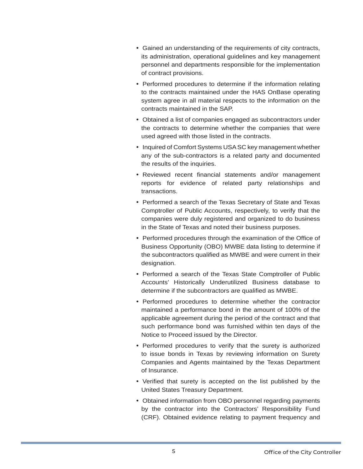- Gained an understanding of the requirements of city contracts, its administration, operational guidelines and key management personnel and departments responsible for the implementation of contract provisions.
- Performed procedures to determine if the information relating to the contracts maintained under the HAS OnBase operating system agree in all material respects to the information on the contracts maintained in the SAP.
- Obtained a list of companies engaged as subcontractors under the contracts to determine whether the companies that were used agreed with those listed in the contracts.
- Inquired of Comfort Systems USA SC key management whether any of the sub-contractors is a related party and documented the results of the inquiries.
- Reviewed recent financial statements and/or management reports for evidence of related party relationships and transactions.
- Performed a search of the Texas Secretary of State and Texas Comptroller of Public Accounts, respectively, to verify that the companies were duly registered and organized to do business in the State of Texas and noted their business purposes.
- Performed procedures through the examination of the Office of Business Opportunity (OBO) MWBE data listing to determine if the subcontractors qualified as MWBE and were current in their designation.
- Performed a search of the Texas State Comptroller of Public Accounts' Historically Underutilized Business database to determine if the subcontractors are qualified as MWBE.
- Performed procedures to determine whether the contractor maintained a performance bond in the amount of 100% of the applicable agreement during the period of the contract and that such performance bond was furnished within ten days of the Notice to Proceed issued by the Director.
- Performed procedures to verify that the surety is authorized to issue bonds in Texas by reviewing information on Surety Companies and Agents maintained by the Texas Department of Insurance.
- Verified that surety is accepted on the list published by the United States Treasury Department.
- Obtained information from OBO personnel regarding payments by the contractor into the Contractors' Responsibility Fund (CRF). Obtained evidence relating to payment frequency and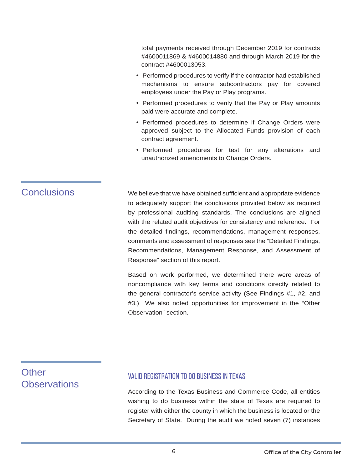total payments received through December 2019 for contracts #4600011869 & #4600014880 and through March 2019 for the contract #4600013053.

- Performed procedures to verify if the contractor had established mechanisms to ensure subcontractors pay for covered employees under the Pay or Play programs.
- Performed procedures to verify that the Pay or Play amounts paid were accurate and complete.
- Performed procedures to determine if Change Orders were approved subject to the Allocated Funds provision of each contract agreement.
- Performed procedures for test for any alterations and unauthorized amendments to Change Orders.

Conclusions We believe that we have obtained sufficient and appropriate evidence to adequately support the conclusions provided below as required by professional auditing standards. The conclusions are aligned with the related audit objectives for consistency and reference. For the detailed findings, recommendations, management responses, comments and assessment of responses see the "Detailed Findings, Recommendations, Management Response, and Assessment of Response" section of this report.

> Based on work performed, we determined there were areas of noncompliance with key terms and conditions directly related to the general contractor's service activity (See Findings #1, #2, and #3.) We also noted opportunities for improvement in the "Other Observation" section.

# **Other Observations**

### VALID REGISTRATION TO DO BUSINESS IN TEXAS

According to the Texas Business and Commerce Code, all entities wishing to do business within the state of Texas are required to register with either the county in which the business is located or the Secretary of State. During the audit we noted seven (7) instances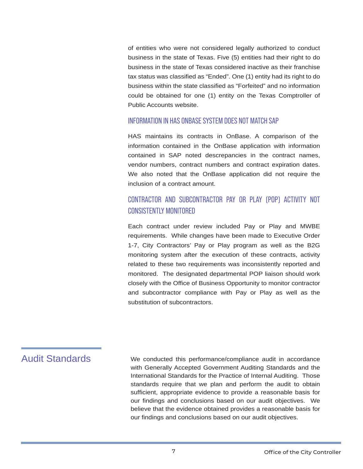of entities who were not considered legally authorized to conduct business in the state of Texas. Five (5) entities had their right to do business in the state of Texas considered inactive as their franchise tax status was classified as "Ended". One (1) entity had its right to do business within the state classified as "Forfeited" and no information could be obtained for one (1) entity on the Texas Comptroller of Public Accounts website.

#### INFORMATION IN HAS ONBASE SYSTEM DOES NOT MATCH SAP

HAS maintains its contracts in OnBase. A comparison of the information contained in the OnBase application with information contained in SAP noted descrepancies in the contract names, vendor numbers, contract numbers and contract expiration dates. We also noted that the OnBase application did not require the inclusion of a contract amount.

### CONTRACTOR AND SUBCONTRACTOR PAY OR PLAY (POP) ACTIVITY NOT CONSISTENTLY MONITORED

Each contract under review included Pay or Play and MWBE requirements. While changes have been made to Executive Order 1-7, City Contractors' Pay or Play program as well as the B2G monitoring system after the execution of these contracts, activity related to these two requirements was inconsistently reported and monitored. The designated departmental POP liaison should work closely with the Office of Business Opportunity to monitor contractor and subcontractor compliance with Pay or Play as well as the substitution of subcontractors.

## Audit Standards

We conducted this performance/compliance audit in accordance with Generally Accepted Government Auditing Standards and the International Standards for the Practice of Internal Auditing. Those standards require that we plan and perform the audit to obtain sufficient, appropriate evidence to provide a reasonable basis for our findings and conclusions based on our audit objectives. We believe that the evidence obtained provides a reasonable basis for our findings and conclusions based on our audit objectives.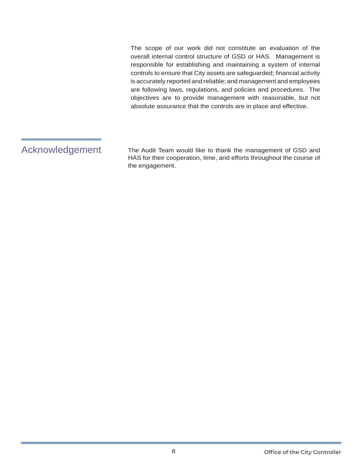The scope of our work did not constitute an evaluation of the overall internal control structure of GSD or HAS. Management is responsible for establishing and maintaining a system of internal controls to ensure that City assets are safeguarded; financial activity is accurately reported and reliable; and management and employees are following laws, regulations, and policies and procedures. The objectives are to provide management with reasonable, but not absolute assurance that the controls are in place and effective.

## Acknowledgement

The Audit Team would like to thank the management of GSD and HAS for their cooperation, time, and efforts throughout the course of the engagement.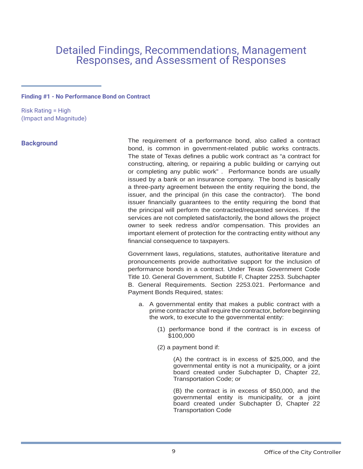# Detailed Findings, Recommendations, Management Responses, and Assessment of Responses

#### **Finding #1 - No Performance Bond on Contract**

Risk Rating = High (Impact and Magnitude)

#### **Background**

The requirement of a performance bond, also called a contract bond, is common in government-related public works contracts. The state of Texas defines a public work contract as "a contract for constructing, altering, or repairing a public building or carrying out or completing any public work" . Performance bonds are usually issued by a bank or an insurance company. The bond is basically a three-party agreement between the entity requiring the bond, the issuer, and the principal (in this case the contractor). The bond issuer financially guarantees to the entity requiring the bond that the principal will perform the contracted/requested services. If the services are not completed satisfactorily, the bond allows the project owner to seek redress and/or compensation. This provides an important element of protection for the contracting entity without any financial consequence to taxpayers.

Government laws, regulations, statutes, authoritative literature and pronouncements provide authoritative support for the inclusion of performance bonds in a contract. Under Texas Government Code Title 10. General Government, Subtitle F, Chapter 2253. Subchapter B. General Requirements. Section 2253.021. Performance and Payment Bonds Required, states:

- a. A governmental entity that makes a public contract with a prime contractor shall require the contractor, before beginning the work, to execute to the governmental entity:
	- (1) performance bond if the contract is in excess of \$100,000
	- (2) a payment bond if:

(A) the contract is in excess of \$25,000, and the governmental entity is not a municipality, or a joint board created under Subchapter D, Chapter 22, Transportation Code; or

(B) the contract is in excess of \$50,000, and the governmental entity is municipality, or a joint board created under Subchapter D, Chapter 22 Transportation Code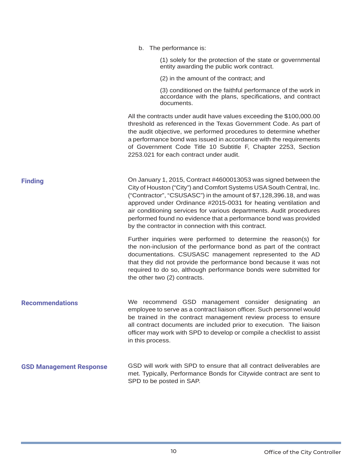|                                | b. The performance is:                                                                                                                                                                                                                                                                                                                                                                                                                                                             |
|--------------------------------|------------------------------------------------------------------------------------------------------------------------------------------------------------------------------------------------------------------------------------------------------------------------------------------------------------------------------------------------------------------------------------------------------------------------------------------------------------------------------------|
|                                | (1) solely for the protection of the state or governmental<br>entity awarding the public work contract.                                                                                                                                                                                                                                                                                                                                                                            |
|                                | (2) in the amount of the contract; and                                                                                                                                                                                                                                                                                                                                                                                                                                             |
|                                | (3) conditioned on the faithful performance of the work in<br>accordance with the plans, specifications, and contract<br>documents.                                                                                                                                                                                                                                                                                                                                                |
|                                | All the contracts under audit have values exceeding the \$100,000.00<br>threshold as referenced in the Texas Government Code. As part of<br>the audit objective, we performed procedures to determine whether<br>a performance bond was issued in accordance with the requirements<br>of Government Code Title 10 Subtitle F, Chapter 2253, Section<br>2253.021 for each contract under audit.                                                                                     |
| <b>Finding</b>                 | On January 1, 2015, Contract #4600013053 was signed between the<br>City of Houston ("City") and Comfort Systems USA South Central, Inc.<br>("Contractor", "CSUSASC") in the amount of \$7,128,396.18, and was<br>approved under Ordinance #2015-0031 for heating ventilation and<br>air conditioning services for various departments. Audit procedures<br>performed found no evidence that a performance bond was provided<br>by the contractor in connection with this contract. |
|                                | Further inquiries were performed to determine the reason(s) for<br>the non-inclusion of the performance bond as part of the contract<br>documentations. CSUSASC management represented to the AD<br>that they did not provide the performance bond because it was not<br>required to do so, although performance bonds were submitted for<br>the other two (2) contracts.                                                                                                          |
| <b>Recommendations</b>         | We recommend GSD management consider designating<br>an<br>employee to serve as a contract liaison officer. Such personnel would<br>be trained in the contract management review process to ensure<br>all contract documents are included prior to execution. The liaison<br>officer may work with SPD to develop or compile a checklist to assist<br>in this process.                                                                                                              |
| <b>GSD Management Response</b> | GSD will work with SPD to ensure that all contract deliverables are<br>met. Typically, Performance Bonds for Citywide contract are sent to<br>SPD to be posted in SAP.                                                                                                                                                                                                                                                                                                             |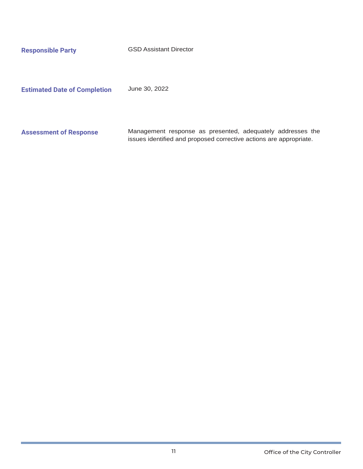**Responsible Party GSD Assistant Director** 

**Estimated Date of Completion** June 30, 2022

**Assessment of Response** Management response as presented, adequately addresses the issues identified and proposed corrective actions are appropriate.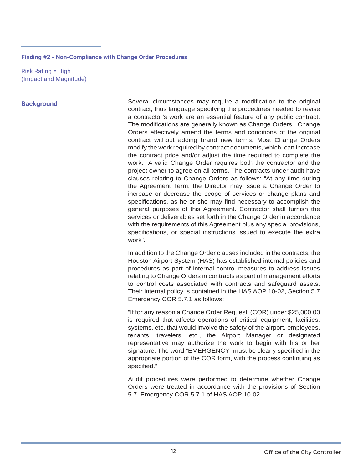#### **Finding #2 - Non-Compliance with Change Order Procedures**

Risk Rating = High (Impact and Magnitude)

#### **Background**

Several circumstances may require a modification to the original contract, thus language specifying the procedures needed to revise a contractor's work are an essential feature of any public contract. The modifications are generally known as Change Orders. Change Orders effectively amend the terms and conditions of the original contract without adding brand new terms. Most Change Orders modify the work required by contract documents, which, can increase the contract price and/or adjust the time required to complete the work. A valid Change Order requires both the contractor and the project owner to agree on all terms. The contracts under audit have clauses relating to Change Orders as follows: "At any time during the Agreement Term, the Director may issue a Change Order to increase or decrease the scope of services or change plans and specifications, as he or she may find necessary to accomplish the general purposes of this Agreement. Contractor shall furnish the services or deliverables set forth in the Change Order in accordance with the requirements of this Agreement plus any special provisions, specifications, or special instructions issued to execute the extra work".

In addition to the Change Order clauses included in the contracts, the Houston Airport System (HAS) has established internal policies and procedures as part of internal control measures to address issues relating to Change Orders in contracts as part of management efforts to control costs associated with contracts and safeguard assets. Their internal policy is contained in the HAS AOP 10-02, Section 5.7 Emergency COR 5.7.1 as follows:

"If for any reason a Change Order Request (COR) under \$25,000.00 is required that affects operations of critical equipment, facilities, systems, etc. that would involve the safety of the airport, employees, tenants, travelers, etc., the Airport Manager or designated representative may authorize the work to begin with his or her signature. The word "EMERGENCY" must be clearly specified in the appropriate portion of the COR form, with the process continuing as specified."

Audit procedures were performed to determine whether Change Orders were treated in accordance with the provisions of Section 5.7, Emergency COR 5.7.1 of HAS AOP 10-02.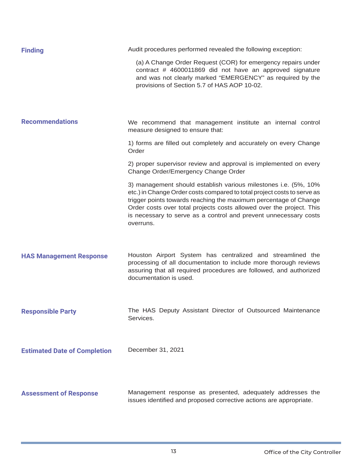| <b>Finding</b>                      | Audit procedures performed revealed the following exception:                                                                                                                                                                                                                                                                                                            |
|-------------------------------------|-------------------------------------------------------------------------------------------------------------------------------------------------------------------------------------------------------------------------------------------------------------------------------------------------------------------------------------------------------------------------|
|                                     | (a) A Change Order Request (COR) for emergency repairs under<br>contract # 4600011869 did not have an approved signature<br>and was not clearly marked "EMERGENCY" as required by the<br>provisions of Section 5.7 of HAS AOP 10-02.                                                                                                                                    |
| <b>Recommendations</b>              | We recommend that management institute an internal control<br>measure designed to ensure that:                                                                                                                                                                                                                                                                          |
|                                     | 1) forms are filled out completely and accurately on every Change<br>Order                                                                                                                                                                                                                                                                                              |
|                                     | 2) proper supervisor review and approval is implemented on every<br>Change Order/Emergency Change Order                                                                                                                                                                                                                                                                 |
|                                     | 3) management should establish various milestones i.e. (5%, 10%<br>etc.) in Change Order costs compared to total project costs to serve as<br>trigger points towards reaching the maximum percentage of Change<br>Order costs over total projects costs allowed over the project. This<br>is necessary to serve as a control and prevent unnecessary costs<br>overruns. |
| <b>HAS Management Response</b>      | Houston Airport System has centralized and streamlined the<br>processing of all documentation to include more thorough reviews<br>assuring that all required procedures are followed, and authorized<br>documentation is used.                                                                                                                                          |
| <b>Responsible Party</b>            | The HAS Deputy Assistant Director of Outsourced Maintenance<br>Services.                                                                                                                                                                                                                                                                                                |
| <b>Estimated Date of Completion</b> | December 31, 2021                                                                                                                                                                                                                                                                                                                                                       |
| <b>Assessment of Response</b>       | Management response as presented, adequately addresses the<br>issues identified and proposed corrective actions are appropriate.                                                                                                                                                                                                                                        |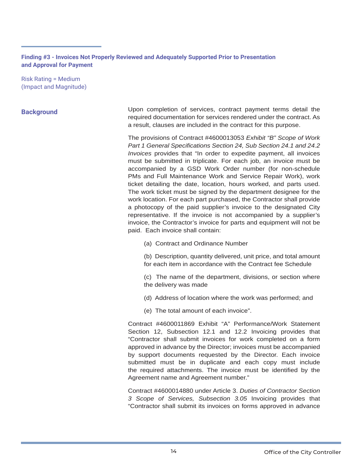**Finding #3 - Invoices Not Properly Reviewed and Adequately Supported Prior to Presentation and Approval for Payment**

Risk Rating = Medium (Impact and Magnitude)

#### **Background**

Upon completion of services, contract payment terms detail the required documentation for services rendered under the contract. As a result, clauses are included in the contract for this purpose.

The provisions of Contract #4600013053 *Exhibit "B" Scope of Work*  Part 1 General Specifications Section 24, Sub Section 24.1 and 24.2 *Invoices* provides that "In order to expedite payment, all invoices must be submitted in triplicate. For each job, an invoice must be accompanied by a GSD Work Order number (for non-schedule PMs and Full Maintenance Work and Service Repair Work), work ticket detailing the date, location, hours worked, and parts used. The work ticket must be signed by the department designee for the work location. For each part purchased, the Contractor shall provide a photocopy of the paid supplier's invoice to the designated City representative. If the invoice is not accompanied by a supplier's invoice, the Contractor's invoice for parts and equipment will not be paid. Each invoice shall contain:

- (a) Contract and Ordinance Number
- (b) Description, quantity delivered, unit price, and total amount for each item in accordance with the Contract fee Schedule
- (c) The name of the department, divisions, or section where the delivery was made
- (d) Address of location where the work was performed; and
- (e) The total amount of each invoice".

Contract #4600011869 Exhibit "A" Performance/Work Statement Section 12, Subsection 12.1 and 12.2 Invoicing provides that "Contractor shall submit invoices for work completed on a form approved in advance by the Director; invoices must be accompanied by support documents requested by the Director. Each invoice submitted must be in duplicate and each copy must include the required attachments. The invoice must be identified by the Agreement name and Agreement number."

Contract #4600014880 under Article 3. *Duties of Contractor Section 3 Scope of Services, Subsection 3.05* Invoicing provides that "Contractor shall submit its invoices on forms approved in advance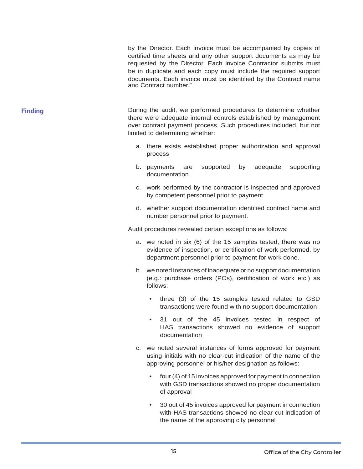by the Director. Each invoice must be accompanied by copies of certified time sheets and any other support documents as may be requested by the Director. Each invoice Contractor submits must be in duplicate and each copy must include the required support documents. Each invoice must be identified by the Contract name and Contract number."

**Finding Example 20** Equilibrary During the audit, we performed procedures to determine whether there were adequate internal controls established by management over contract payment process. Such procedures included, but not limited to determining whether:

- a. there exists established proper authorization and approval process
- b. payments are supported by adequate supporting documentation
- c. work performed by the contractor is inspected and approved by competent personnel prior to payment.
- d. whether support documentation identified contract name and number personnel prior to payment.

Audit procedures revealed certain exceptions as follows:

- a. we noted in six (6) of the 15 samples tested, there was no evidence of inspection, or certification of work performed, by department personnel prior to payment for work done.
- b. we noted instances of inadequate or no support documentation  $(e.g.:$  purchase orders  $(POS)$ , certification of work etc.) as follows:
	- three (3) of the 15 samples tested related to GSD transactions were found with no support documentation
	- 31 out of the 45 invoices tested in respect of HAS transactions showed no evidence of support documentation
- c. we noted several instances of forms approved for payment using initials with no clear-cut indication of the name of the approving personnel or his/her designation as follows:
	- four (4) of 15 invoices approved for payment in connection with GSD transactions showed no proper documentation of approval
	- 30 out of 45 invoices approved for payment in connection with HAS transactions showed no clear-cut indication of the name of the approving city personnel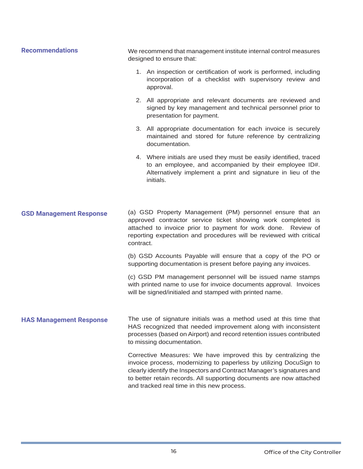| <b>Recommendations</b>         | We recommend that management institute internal control measures<br>designed to ensure that:                                                                                                                                                                                                                                       |  |
|--------------------------------|------------------------------------------------------------------------------------------------------------------------------------------------------------------------------------------------------------------------------------------------------------------------------------------------------------------------------------|--|
|                                | 1. An inspection or certification of work is performed, including<br>incorporation of a checklist with supervisory review and<br>approval.                                                                                                                                                                                         |  |
|                                | 2. All appropriate and relevant documents are reviewed and<br>signed by key management and technical personnel prior to<br>presentation for payment.                                                                                                                                                                               |  |
|                                | 3. All appropriate documentation for each invoice is securely<br>maintained and stored for future reference by centralizing<br>documentation.                                                                                                                                                                                      |  |
|                                | 4. Where initials are used they must be easily identified, traced<br>to an employee, and accompanied by their employee ID#.<br>Alternatively implement a print and signature in lieu of the<br>initials.                                                                                                                           |  |
|                                |                                                                                                                                                                                                                                                                                                                                    |  |
| <b>GSD Management Response</b> | (a) GSD Property Management (PM) personnel ensure that an<br>approved contractor service ticket showing work completed is<br>attached to invoice prior to payment for work done. Review of<br>reporting expectation and procedures will be reviewed with critical<br>contract.                                                     |  |
|                                | (b) GSD Accounts Payable will ensure that a copy of the PO or<br>supporting documentation is present before paying any invoices.                                                                                                                                                                                                   |  |
|                                | (c) GSD PM management personnel will be issued name stamps<br>with printed name to use for invoice documents approval. Invoices<br>will be signed/initialed and stamped with printed name.                                                                                                                                         |  |
| <b>HAS Management Response</b> | The use of signature initials was a method used at this time that<br>HAS recognized that needed improvement along with inconsistent<br>processes (based on Airport) and record retention issues contributed<br>to missing documentation.                                                                                           |  |
|                                | Corrective Measures: We have improved this by centralizing the<br>invoice process, modernizing to paperless by utilizing DocuSign to<br>clearly identify the Inspectors and Contract Manager's signatures and<br>to better retain records. All supporting documents are now attached<br>and tracked real time in this new process. |  |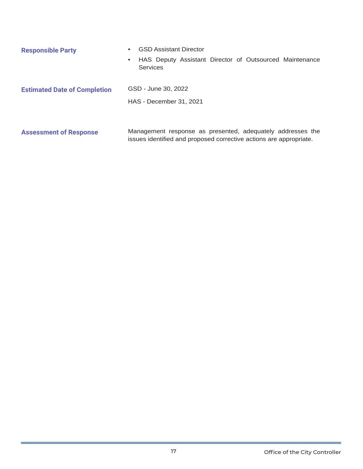| <b>Responsible Party</b>            | <b>GSD Assistant Director</b>                                                                                                    |  |  |
|-------------------------------------|----------------------------------------------------------------------------------------------------------------------------------|--|--|
|                                     | HAS Deputy Assistant Director of Outsourced Maintenance<br>Services                                                              |  |  |
| <b>Estimated Date of Completion</b> | GSD - June 30, 2022                                                                                                              |  |  |
|                                     | <b>HAS - December 31, 2021</b>                                                                                                   |  |  |
|                                     |                                                                                                                                  |  |  |
| <b>Assessment of Response</b>       | Management response as presented, adequately addresses the<br>issues identified and proposed corrective actions are appropriate. |  |  |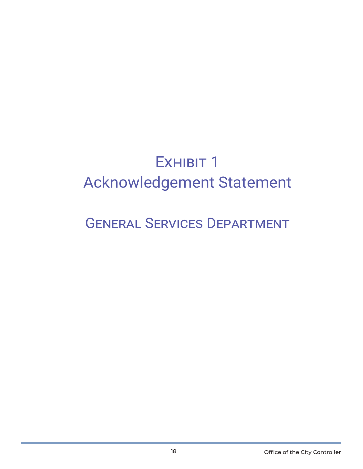# EXHIBIT 1 Acknowledgement Statement

# GENERAL SERVICES DEPARTMENT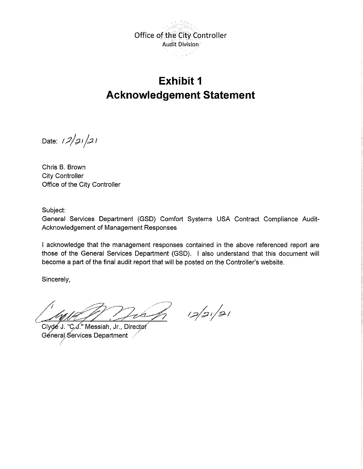

# **Exhibit 1 Acknowledgement Statement**

Date:  $12/21/21$ 

Chris B. Brown City Controller Office of the City Controller

Subject:

General Services Department (GSD) Comfort Systems USA Contract Compliance Audit-Acknowledgement of Management Responses

I acknowledge that the management responses contained in the above referenced report are those of the General Services Department (GSD). I also understand that this document will become a part of the final audit report that will be posted on the Controller's website.

Sincerely,

Lea

 $12/2/21$ 

Clyde J. "C.J." Messiah, Jr., Director Géneral Services Department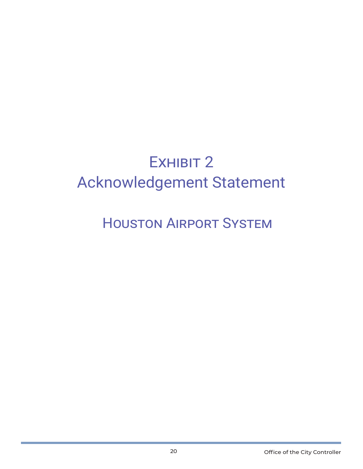# EXHIBIT 2 Acknowledgement Statement

# HOUSTON AIRPORT SYSTEM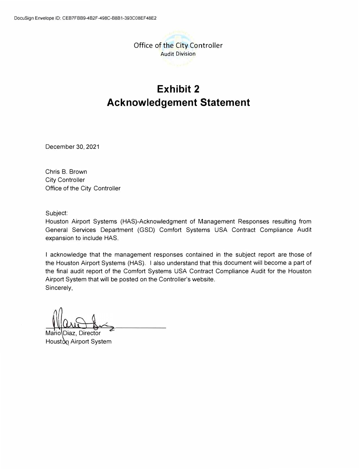

# **Exhibit 2 Acknowledgement Statement**

December 30, 2021

Chris B. Brown City Controller Office of the City Controller

Subject:

Houston Airport Systems (HAS)-Acknowledgment of Management Responses resulting from General Services Department (GSD) Comfort Systems USA Contract Compliance Audit expansion to include HAS.

I acknowledge that the management responses contained in the subject report are those of the Houston Airport Systems (HAS). I also understand that this document will become a part of the final audit report of the Comfort Systems USA Contract Compliance Audit for the Houston Airport System that will be posted on the Controller's website. Sincerely,

**Director** Houston Airport System